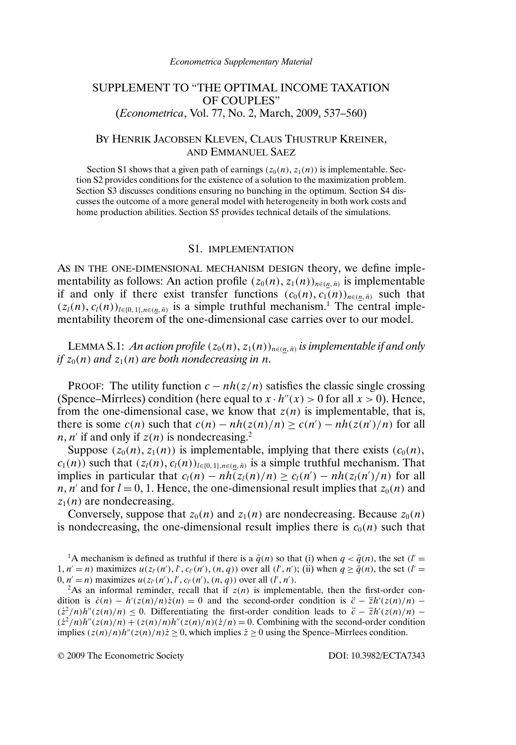# SUPPLEMENT TO "THE OPTIMAL INCOME TAXATION OF COUPLES" (*Econometrica*, Vol. 77, No. 2, March, 2009, 537–560)

## BY HENRIK JACOBSEN KLEVEN, CLAUS THUSTRUP KREINER, AND EMMANUEL SAEZ

Section S1 shows that a given path of earnings  $(z_0(n), z_1(n))$  is implementable. Section S2 provides conditions for the existence of a solution to the maximization problem. Section S3 discusses conditions ensuring no bunching in the optimum. Section S4 discusses the outcome of a more general model with heterogeneity in both work costs and home production abilities. Section S5 provides technical details of the simulations.

#### S1. IMPLEMENTATION

AS IN THE ONE-DIMENSIONAL MECHANISM DESIGN theory, we define implementability as follows: An action profile  $(z_0(n), z_1(n))_{n \in (n, \bar{n})}$  is implementable if and only if there exist transfer functions  $(c_0(n), c_1(n))_{n \in (n, \bar{n})}$  such that  $(z<sub>l</sub>(n), c<sub>l</sub>(n))<sub>l \in \{0, 1\}, n \in \{n, \bar{n}\}</sub>$  is a simple truthful mechanism.<sup>1</sup> The central implementability theorem of the one-dimensional case carries over to our model.

LEMMA S.1: *An action profile*  $(z_0(n), z_1(n))_{n \in (n, \bar{n})}$  *is implementable if and only if*  $z_0(n)$  *and*  $z_1(n)$  *are both nondecreasing in n.* 

PROOF: The utility function  $c - nh(z/n)$  satisfies the classic single crossing (Spence–Mirrlees) condition (here equal to  $x \cdot h''(x) > 0$  for all  $x > 0$ ). Hence, from the one-dimensional case, we know that  $z(n)$  is implementable, that is, there is some  $c(n)$  such that  $c(n) - nh(z(n)/n) \ge c(n') - nh(z(n')/n)$  for all  $n, n'$  if and only if  $z(n)$  is nondecreasing.<sup>2</sup>

Suppose  $(z_0(n), z_1(n))$  is implementable, implying that there exists  $(c_0(n),$  $c_1(n)$ ) such that  $(z_l(n), c_l(n))_{l \in [0, 1], n \in (n, \bar{n})}$  is a simple truthful mechanism. That implies in particular that  $c_l(n) - nh(z_l(n)/n) \ge c_l(n') - nh(z_l(n')/n)$  for all n, n' and for  $l = 0, 1$ . Hence, the one-dimensional result implies that  $z_0(n)$  and  $z_1(n)$  are nondecreasing.

Conversely, suppose that  $z_0(n)$  and  $z_1(n)$  are nondecreasing. Because  $z_0(n)$ is nondecreasing, the one-dimensional result implies there is  $c_0(n)$  such that

<sup>1</sup>A mechanism is defined as truthful if there is a  $\bar{q}(n)$  so that (i) when  $q < \bar{q}(n)$ , the set (l' =  $1, n' = n$ ) maximizes  $u(z_{l'}(n'), l', c_{l'}(n'), (n, q))$  over all  $(l', n')$ ; (ii) when  $q \ge \overline{q}(n)$ , the set  $(l' =$  $0, n' = n$ ) maximizes  $u(z_{l'}(n'), l', c_{l'}(n'), (n, q))$  over all  $(l', n').$ 

<sup>2</sup>As an informal reminder, recall that if  $z(n)$  is implementable, then the first-order condition is  $\dot{c}(n) - h'(z(n)/n)\dot{z}(n) = 0$  and the second-order condition is  $\ddot{c} - \ddot{z}h'(z(n)/n)$  $(z^2/n)h''(z(n)/n) \leq 0$ . Differentiating the first-order condition leads to  $\ddot{c} - \ddot{z}h'(z(n)/n)$  –  $(\dot{z}^2/n)h''(z(n)/n) + (z(n)/n)h''(z(n)/n)(\dot{z}/n) = 0$ . Combining with the second-order condition implies  $(z(n)/n)h''(z(n)/n)\dot{z} \ge 0$ , which implies  $\dot{z} \ge 0$  using the Spence–Mirrlees condition.

© 2009 The Econometric Society DOI: 10.3982/ECTA7343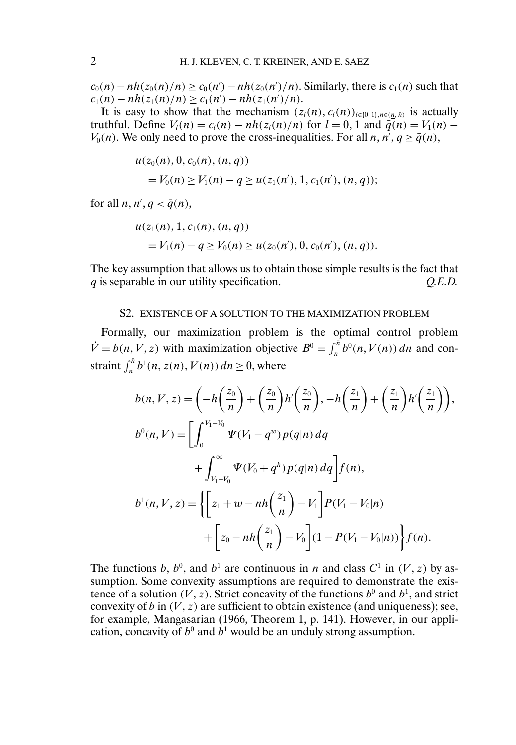$c_0(n) - nh(z_0(n)/n) \ge c_0(n') - nh(z_0(n')/n)$ . Similarly, there is  $c_1(n)$  such that  $c_1(n) - nh(z_1(n)/n) \ge c_1(n') - nh(z_1(n')/n).$ 

It is easy to show that the mechanism  $(z_l(n), c_l(n))_{l \in \{0, 1\}, n \in \{n, \bar{n}\}}$  is actually truthful. Define  $V_l(n) = c_l(n) - nh(z_l(n)/n)$  for  $l = 0, 1$  and  $\bar{q}(n) = V_1(n) V_0(n)$ . We only need to prove the cross-inequalities. For all  $n, n', q \ge \bar{q}(n)$ ,

$$
u(z_0(n), 0, c_0(n), (n, q))
$$
  
=  $V_0(n) \ge V_1(n) - q \ge u(z_1(n'), 1, c_1(n'), (n, q));$ 

for all  $n, n', q < \bar{q}(n)$ ,

$$
u(z_1(n), 1, c_1(n), (n, q))
$$
  
=  $V_1(n) - q \ge V_0(n) \ge u(z_0(n'), 0, c_0(n'), (n, q)).$ 

The key assumption that allows us to obtain those simple results is the fact that q is separable in our utility specification. *Q.E.D.*

### S2. EXISTENCE OF A SOLUTION TO THE MAXIMIZATION PROBLEM

Formally, our maximization problem is the optimal control problem  $\dot{V} = b(n, V, z)$  with maximization objective  $B^0 = \int_{\pi}^{\bar{n}} b^0(n, V(n)) dn$  and constraint  $\int_{\frac{n}{2}}^{\bar{n}} b^1(n, z(n), V(n)) dn \ge 0$ , where

$$
b(n, V, z) = \left(-h\left(\frac{z_0}{n}\right) + \left(\frac{z_0}{n}\right)h'\left(\frac{z_0}{n}\right), -h\left(\frac{z_1}{n}\right) + \left(\frac{z_1}{n}\right)h'\left(\frac{z_1}{n}\right)\right),
$$
  
\n
$$
b^0(n, V) = \left[\int_0^{V_1 - V_0} \Psi(V_1 - q^w) p(q|n) dq + \int_{V_1 - V_0}^{\infty} \Psi(V_0 + q^h) p(q|n) dq\right] f(n),
$$
  
\n
$$
b^1(n, V, z) = \left\{ \left[z_1 + w - nh\left(\frac{z_1}{n}\right) - V_1\right] P(V_1 - V_0|n) + \left[z_0 - nh\left(\frac{z_1}{n}\right) - V_0\right] (1 - P(V_1 - V_0|n))\right\} f(n).
$$

The functions b,  $b^0$ , and  $b^1$  are continuous in n and class  $C^1$  in  $(V, z)$  by assumption. Some convexity assumptions are required to demonstrate the existence of a solution (V, z). Strict concavity of the functions  $b^0$  and  $b^1$ , and strict convexity of b in  $(V, z)$  are sufficient to obtain existence (and uniqueness); see, for example, Mangasarian (1966, Theorem 1, p. 141). However, in our application, concavity of  $b^0$  and  $b^1$  would be an unduly strong assumption.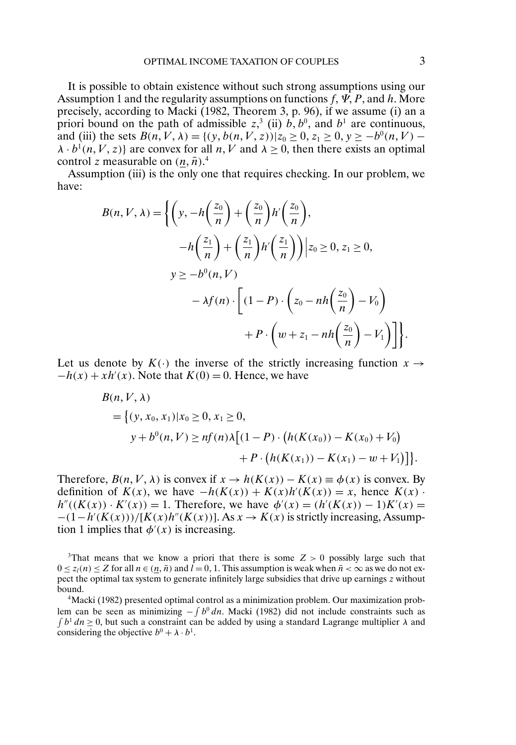It is possible to obtain existence without such strong assumptions using our Assumption 1 and the regularity assumptions on functions  $f, \Psi, P$ , and h. More precisely, according to Macki (1982, Theorem 3, p. 96), if we assume (i) an a priori bound on the path of admissible  $z^3$ , (ii)  $b, b^0$ , and  $b^1$  are continuous, and (iii) the sets  $B(n, V, \lambda) = \{(y, b(n, V, z)) | z_0 \ge 0, z_1 \ge 0, y \ge -b^0(n, V) - b^0(n, V) \}$  $\lambda \cdot b^1(n, V, z)$  are convex for all n, V and  $\lambda \ge 0$ , then there exists an optimal control z measurable on  $(\underline{n}, \overline{n})$ <sup>4</sup>.

Assumption (iii) is the only one that requires checking. In our problem, we have:

$$
B(n, V, \lambda) = \left\{ \left( y, -h\left(\frac{z_0}{n}\right) + \left(\frac{z_0}{n}\right)h'\left(\frac{z_0}{n}\right) \right),
$$
  

$$
-h\left(\frac{z_1}{n}\right) + \left(\frac{z_1}{n}\right)h'\left(\frac{z_1}{n}\right) \right| z_0 \ge 0, z_1 \ge 0,
$$
  

$$
y \ge -b^0(n, V)
$$
  

$$
- \lambda f(n) \cdot \left[ (1 - P) \cdot \left( z_0 - nh\left(\frac{z_0}{n}\right) - V_0 \right) + P \cdot \left( w + z_1 - nh\left(\frac{z_0}{n}\right) - V_1 \right) \right] \right\}.
$$

Let us denote by  $K(\cdot)$  the inverse of the strictly increasing function  $x \to$  $-h(x) + xh'(x)$ . Note that  $K(0) = 0$ . Hence, we have

$$
B(n, V, \lambda)
$$
  
= { $(y, x_0, x_1) | x_0 \ge 0, x_1 \ge 0,$   
 $y + b^0(n, V) \ge nf(n)\lambda [(1 - P) \cdot (h(K(x_0)) - K(x_0) + V_0) + P \cdot (h(K(x_1)) - K(x_1) - w + V_1)]$  }.

Therefore,  $B(n, V, \lambda)$  is convex if  $x \to h(K(x)) - K(x) \equiv \phi(x)$  is convex. By definition of  $K(x)$ , we have  $-h(K(x)) + K(x)h'(K(x)) = x$ , hence  $K(x)$ .  $h''((K(x)) \cdot K'(x)) = 1$ . Therefore, we have  $\phi'(x) = (h'(K(x)) - 1)K'(x) =$  $-(1-h'(K(x)))/[K(x)h''(K(x))]$ . As  $x \to K(x)$  is strictly increasing, Assumption 1 implies that  $\phi'(x)$  is increasing.

4Macki (1982) presented optimal control as a minimization problem. Our maximization problem can be seen as minimizing  $-\int b^0 dn$ . Macki (1982) did not include constraints such as  $\int b^1 dn \ge 0$ , but such a constraint can be added by using a standard Lagrange multiplier  $\lambda$  and considering the objective  $b^0 + \lambda \cdot b^1$ .

<sup>&</sup>lt;sup>3</sup>That means that we know a priori that there is some  $Z > 0$  possibly large such that  $0 \le z_l(n) \le Z$  for all  $n \in (\underline{n}, \overline{n})$  and  $l = 0, 1$ . This assumption is weak when  $\overline{n} < \infty$  as we do not expect the optimal tax system to generate infinitely large subsidies that drive up earnings z without bound.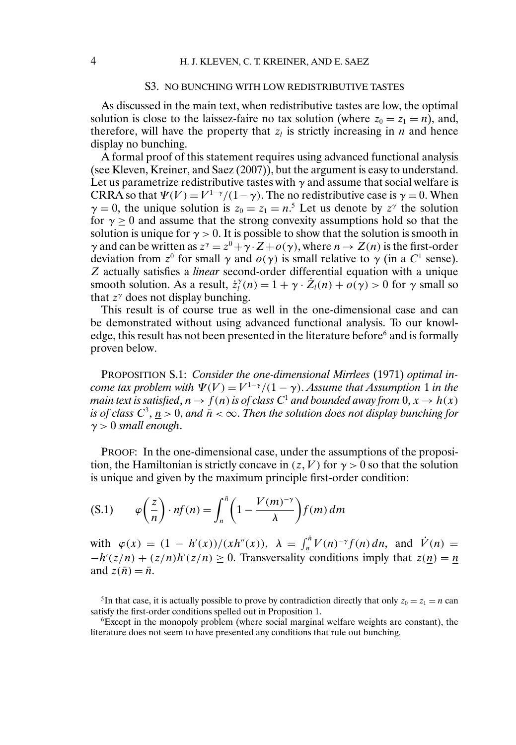## S3. NO BUNCHING WITH LOW REDISTRIBUTIVE TASTES

As discussed in the main text, when redistributive tastes are low, the optimal solution is close to the laissez-faire no tax solution (where  $z_0 = z_1 = n$ ), and, therefore, will have the property that  $z_l$  is strictly increasing in n and hence display no bunching.

A formal proof of this statement requires using advanced functional analysis (see Kleven, Kreiner, and Saez (2007)), but the argument is easy to understand. Let us parametrize redistributive tastes with  $\gamma$  and assume that social welfare is CRRA so that  $\Psi(V) = V^{1-\gamma}/(1-\gamma)$ . The no redistributive case is  $\gamma = 0$ . When  $\gamma = 0$ , the unique solution is  $z_0 = z_1 = n^5$ . Let us denote by  $z^{\gamma}$  the solution for  $\gamma > 0$  and assume that the strong convexity assumptions hold so that the solution is unique for  $\gamma > 0$ . It is possible to show that the solution is smooth in γ and can be written as  $z^{\gamma} = z^0 + \gamma \cdot Z + o(\gamma)$ , where  $n \to Z(n)$  is the first-order deviation from  $z^0$  for small  $\gamma$  and  $o(\gamma)$  is small relative to  $\gamma$  (in a C<sup>1</sup> sense). Z actually satisfies a *linear* second-order differential equation with a unique smooth solution. As a result,  $\dot{z}_i^{\gamma}(n) = 1 + \gamma \cdot \dot{Z}_i(n) + o(\gamma) > 0$  for  $\gamma$  small so that  $z^{\gamma}$  does not display bunching.

This result is of course true as well in the one-dimensional case and can be demonstrated without using advanced functional analysis. To our knowledge, this result has not been presented in the literature before $6$  and is formally proven below.

PROPOSITION S.1: *Consider the one-dimensional Mirrlees* (1971) *optimal income tax problem with*  $\Psi(V) = V^{1-\gamma}/(1-\gamma)$ . *Assume that Assumption* 1 *in the main text is satisfied, n*  $\rightarrow$   $f(n)$  *is of class C*<sup>1</sup> *and bounded away from* 0*, x*  $\rightarrow$  *h(x) is of class*  $C^3$ ,  $n > 0$ , and  $\bar{n} < \infty$ . *Then the solution does not display bunching for*  $\gamma > 0$  *small enough.* 

PROOF: In the one-dimensional case, under the assumptions of the proposition, the Hamiltonian is strictly concave in  $(z, V)$  for  $\gamma > 0$  so that the solution is unique and given by the maximum principle first-order condition:

$$
(S.1) \qquad \varphi\left(\frac{z}{n}\right) \cdot nf(n) = \int_n^{\bar{n}} \left(1 - \frac{V(m)^{-\gamma}}{\lambda}\right) f(m) \, dm
$$

with  $\varphi(x) = (1 - h'(x))/(x h''(x)), \lambda = \int_{\underline{n}}^{\overline{n}} V(n)^{-\gamma} f(n) dn$ , and  $\dot{V}(n) =$  $-h'(z/n) + (z/n)h'(z/n) \ge 0$ . Transversality conditions imply that  $z(n) = n$ and  $z(\bar{n}) = \bar{n}$ .

<sup>5</sup>In that case, it is actually possible to prove by contradiction directly that only  $z_0 = z_1 = n$  can satisfy the first-order conditions spelled out in Proposition 1.

6Except in the monopoly problem (where social marginal welfare weights are constant), the literature does not seem to have presented any conditions that rule out bunching.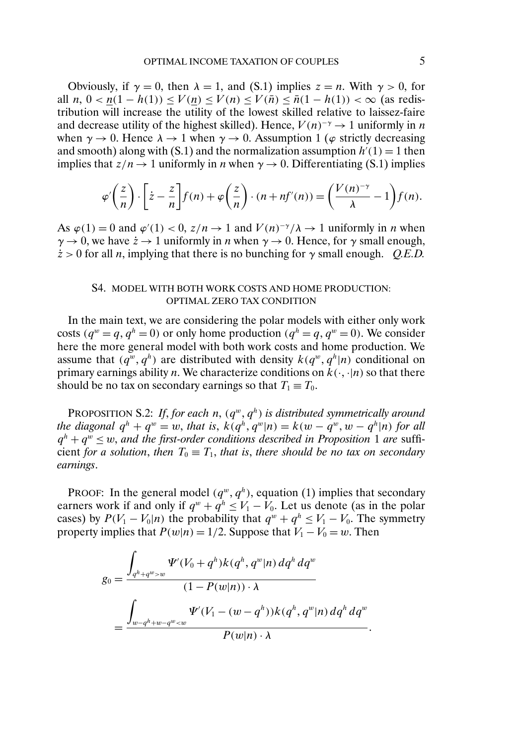Obviously, if  $\gamma = 0$ , then  $\lambda = 1$ , and (S.1) implies  $z = n$ . With  $\gamma > 0$ , for all  $n, 0 < n(1 - h(1)) \le V(n) \le V(n) \le V(\bar{n}) \le \bar{n}(1 - h(1)) < \infty$  (as redistribution will increase the utility of the lowest skilled relative to laissez-faire and decrease utility of the highest skilled). Hence,  $V(n)^{-\gamma} \rightarrow 1$  uniformly in n when  $\gamma \to 0$ . Hence  $\lambda \to 1$  when  $\gamma \to 0$ . Assumption 1 ( $\varphi$  strictly decreasing and smooth) along with (S.1) and the normalization assumption  $h'(1) = 1$  then implies that  $z/n \rightarrow 1$  uniformly in *n* when  $\gamma \rightarrow 0$ . Differentiating (S.1) implies

$$
\varphi'\left(\frac{z}{n}\right) \cdot \left[z - \frac{z}{n}\right] f(n) + \varphi\left(\frac{z}{n}\right) \cdot (n + nf'(n)) = \left(\frac{V(n)^{-\gamma}}{\lambda} - 1\right) f(n).
$$

As  $\varphi(1) = 0$  and  $\varphi'(1) < 0$ ,  $z/n \to 1$  and  $V(n)^{-\gamma}/\lambda \to 1$  uniformly in *n* when  $\gamma \rightarrow 0$ , we have  $\dot{z} \rightarrow 1$  uniformly in *n* when  $\gamma \rightarrow 0$ . Hence, for  $\gamma$  small enough,  $\dot{z} > 0$  for all *n*, implying that there is no bunching for  $\gamma$  small enough. *Q.E.D.* 

# S4. MODEL WITH BOTH WORK COSTS AND HOME PRODUCTION: OPTIMAL ZERO TAX CONDITION

In the main text, we are considering the polar models with either only work costs ( $q^w = q$ ,  $q^h = 0$ ) or only home production ( $q^h = q$ ,  $q^w = 0$ ). We consider here the more general model with both work costs and home production. We assume that  $(q^w, q^h)$  are distributed with density  $k(q^w, q^h|n)$  conditional on primary earnings ability *n*. We characterize conditions on  $k(\cdot, \cdot | n)$  so that there should be no tax on secondary earnings so that  $T_1 \equiv T_0$ .

PROPOSITION S.2: If, for each  $n$ ,  $(q^w, q^h)$  is distributed symmetrically around *the diagonal*  $q^h + q^w = w$ , *that is*,  $k(q^h, q^w|n) = k(w - q^w, w - q^h|n)$  *for all*  $q^h + q^w \leq w$ , and the first-order conditions described in Proposition 1 are sufficient *for a solution*, *then*  $T_0 \equiv T_1$ *, that is, there should be no tax on secondary earnings*.

PROOF: In the general model  $(q^w, q^h)$ , equation (1) implies that secondary earners work if and only if  $q^w + q^h \le V_1 - V_0$ . Let us denote (as in the polar cases) by  $P(V_1 - V_0|n)$  the probability that  $q^w + q^h \le V_1 - V_0$ . The symmetry property implies that  $P(w|n) = 1/2$ . Suppose that  $V_1 - V_0 = w$ . Then

$$
g_0 = \frac{\displaystyle \int_{q^h + q^w > w} \Psi'(V_0 + q^h) k(q^h, q^w | n) \, dq^h \, dq^w}{(1 - P(w | n)) \cdot \lambda} = \frac{\displaystyle \int_{w - q^h + w - q^w < w} \Psi'(V_1 - (w - q^h)) k(q^h, q^w | n) \, dq^h \, dq^w}{P(w | n) \cdot \lambda}.
$$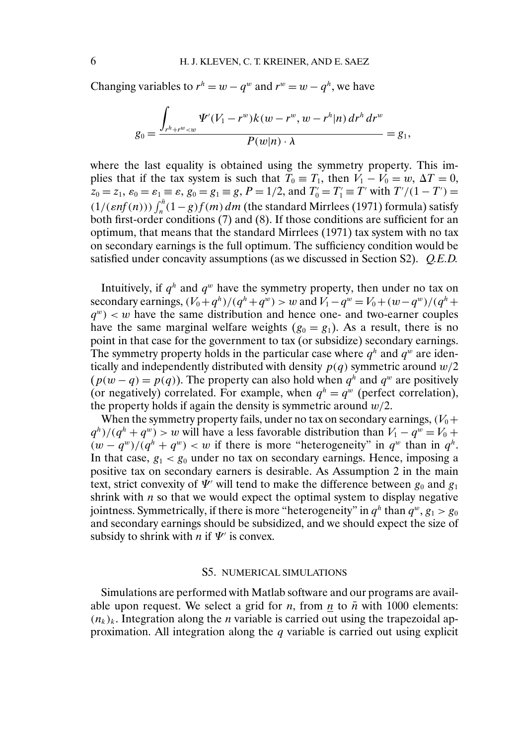Changing variables to  $r^h = w - q^w$  and  $r^w = w - q^h$ , we have

$$
g_0 = \frac{\int_{r^h + r^w < w} \Psi'(V_1 - r^w) k(w - r^w, w - r^h | n) \, dr^h \, dr^w}{P(w | n) \cdot \lambda} = g_1,
$$

where the last equality is obtained using the symmetry property. This implies that if the tax system is such that  $T_0 \equiv T_1$ , then  $V_1 - V_0 = w$ ,  $\Delta T = 0$ ,  $z_0 = z_1$ ,  $\varepsilon_0 = \varepsilon_1 \equiv \varepsilon$ ,  $g_0 = g_1 \equiv g$ ,  $P = 1/2$ , and  $T'_0 = T'_1 \equiv T'$  with  $T'/(1 - T') =$  $(1/(\epsilon n f(n))) \int_{n}^{\bar{n}} (1 - g) f(m) dm$  (the standard Mirrlees (1971) formula) satisfy both first-order conditions (7) and (8). If those conditions are sufficient for an optimum, that means that the standard Mirrlees (1971) tax system with no tax on secondary earnings is the full optimum. The sufficiency condition would be satisfied under concavity assumptions (as we discussed in Section S2). *Q.E.D.*

Intuitively, if  $q^h$  and  $q^w$  have the symmetry property, then under no tax on secondary earnings,  $(V_0 + q^h)/(q^h + q^w) > w$  and  $V_1 - q^w = V_0 + (w - q^w)/(q^h +$  $q^w$  < w have the same distribution and hence one- and two-earner couples have the same marginal welfare weights  $(g_0 = g_1)$ . As a result, there is no point in that case for the government to tax (or subsidize) secondary earnings. The symmetry property holds in the particular case where  $q^h$  and  $q^w$  are identically and independently distributed with density  $p(q)$  symmetric around  $w/2$  $(p(w - q) = p(q))$ . The property can also hold when  $q^h$  and  $q^w$  are positively (or negatively) correlated. For example, when  $q^h = q^w$  (perfect correlation), the property holds if again the density is symmetric around  $w/2$ .

When the symmetry property fails, under no tax on secondary earnings,  $(V_0 +$  $q^{h}/(q^{h} + q^{w}) > w$  will have a less favorable distribution than  $V_1 - q^{w} = V_0 +$  $(w - q^w)/(q^h + q^w) < w$  if there is more "heterogeneity" in  $q^w$  than in  $q^h$ . In that case,  $g_1 < g_0$  under no tax on secondary earnings. Hence, imposing a positive tax on secondary earners is desirable. As Assumption 2 in the main text, strict convexity of  $\Psi'$  will tend to make the difference between  $g_0$  and  $g_1$ shrink with  $n$  so that we would expect the optimal system to display negative jointness. Symmetrically, if there is more "heterogeneity" in  $q^h$  than  $q^w$ ,  $g_1 > g_0$ and secondary earnings should be subsidized, and we should expect the size of subsidy to shrink with *n* if  $\Psi'$  is convex.

### S5. NUMERICAL SIMULATIONS

Simulations are performed with Matlab software and our programs are available upon request. We select a grid for *n*, from  $n \neq 0$  *n* with 1000 elements:  $(n_k)_k$ . Integration along the *n* variable is carried out using the trapezoidal approximation. All integration along the  $q$  variable is carried out using explicit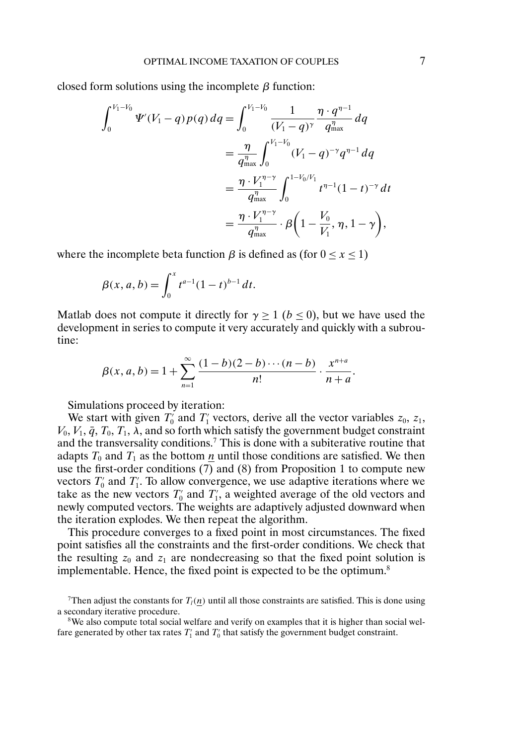closed form solutions using the incomplete  $\beta$  function:

$$
\int_0^{V_1-V_0} \Psi'(V_1 - q) p(q) \, dq = \int_0^{V_1-V_0} \frac{1}{(V_1 - q)^{\gamma}} \frac{\eta \cdot q^{\eta - 1}}{q_{\text{max}}^{\eta}} \, dq
$$
\n
$$
= \frac{\eta}{q_{\text{max}}^{\eta}} \int_0^{V_1-V_0} (V_1 - q)^{-\gamma} q^{\eta - 1} \, dq
$$
\n
$$
= \frac{\eta \cdot V_1^{\eta - \gamma}}{q_{\text{max}}^{\eta}} \int_0^{1 - V_0/V_1} t^{\eta - 1} (1 - t)^{-\gamma} \, dt
$$
\n
$$
= \frac{\eta \cdot V_1^{\eta - \gamma}}{q_{\text{max}}^{\eta}} \cdot \beta \left(1 - \frac{V_0}{V_1}, \eta, 1 - \gamma\right),
$$

where the incomplete beta function  $\beta$  is defined as (for  $0 \le x \le 1$ )

$$
\beta(x, a, b) = \int_0^x t^{a-1} (1-t)^{b-1} dt.
$$

Matlab does not compute it directly for  $\gamma > 1$  ( $b < 0$ ), but we have used the development in series to compute it very accurately and quickly with a subroutine:

$$
\beta(x, a, b) = 1 + \sum_{n=1}^{\infty} \frac{(1-b)(2-b)\cdots(n-b)}{n!} \cdot \frac{x^{n+a}}{n+a}.
$$

Simulations proceed by iteration:

We start with given  $T'_0$  and  $T'_1$  vectors, derive all the vector variables  $z_0$ ,  $z_1$ ,  $V_0$ ,  $V_1$ ,  $\bar{q}$ ,  $T_0$ ,  $T_1$ ,  $\lambda$ , and so forth which satisfy the government budget constraint and the transversality conditions.7 This is done with a subiterative routine that adapts  $T_0$  and  $T_1$  as the bottom  $\underline{n}$  until those conditions are satisfied. We then use the first-order conditions (7) and (8) from Proposition 1 to compute new vectors  $T_0'$  and  $T_1'$ . To allow convergence, we use adaptive iterations where we take as the new vectors  $T'_0$  and  $T'_1$ , a weighted average of the old vectors and newly computed vectors. The weights are adaptively adjusted downward when the iteration explodes. We then repeat the algorithm.

This procedure converges to a fixed point in most circumstances. The fixed point satisfies all the constraints and the first-order conditions. We check that the resulting  $z_0$  and  $z_1$  are nondecreasing so that the fixed point solution is implementable. Hence, the fixed point is expected to be the optimum.<sup>8</sup>

<sup>8</sup>We also compute total social welfare and verify on examples that it is higher than social welfare generated by other tax rates  $T_1'$  and  $T_0'$  that satisfy the government budget constraint.

Then adjust the constants for  $T_l(\underline{n})$  until all those constraints are satisfied. This is done using a secondary iterative procedure.